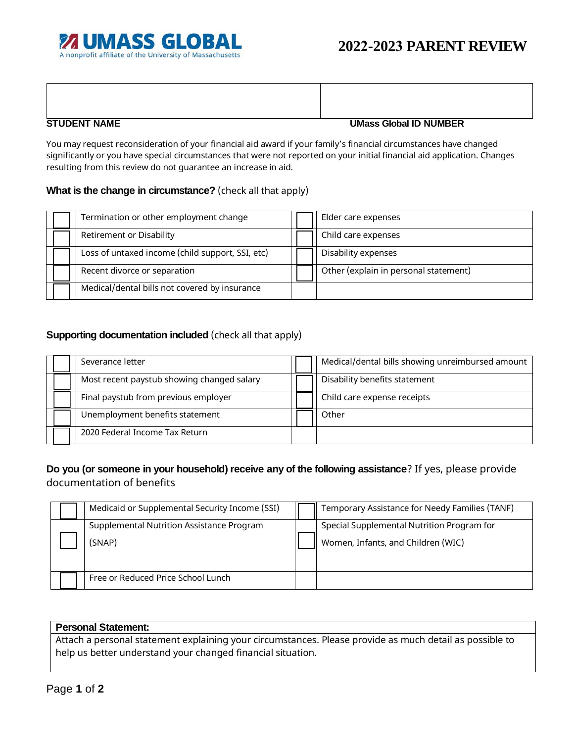

### **STUDENT NAME UMass Global ID NUMBER**

You may request reconsideration of your financial aid award if your family's financial circumstances have changed significantly or you have special circumstances that were not reported on your initial financial aid application. Changes resulting from this review do not guarantee an increase in aid.

### **What is the change in circumstance?** (check all that apply)

| Termination or other employment change           | Elder care expenses                   |
|--------------------------------------------------|---------------------------------------|
| <b>Retirement or Disability</b>                  | Child care expenses                   |
| Loss of untaxed income (child support, SSI, etc) | Disability expenses                   |
| Recent divorce or separation                     | Other (explain in personal statement) |
| Medical/dental bills not covered by insurance    |                                       |

## **Supporting documentation included** (check all that apply)

| Severance letter                           | Medical/dental bills showing unreimbursed amount |  |
|--------------------------------------------|--------------------------------------------------|--|
| Most recent paystub showing changed salary | Disability benefits statement                    |  |
| Final paystub from previous employer       | Child care expense receipts                      |  |
| Unemployment benefits statement            | Other                                            |  |
| 2020 Federal Income Tax Return             |                                                  |  |

# **Do you (or someone in your household) receive any of the following assistance**? If yes, please provide documentation of benefits

|  | Medicaid or Supplemental Security Income (SSI) | Temporary Assistance for Needy Families (TANF) |  |
|--|------------------------------------------------|------------------------------------------------|--|
|  | Supplemental Nutrition Assistance Program      | Special Supplemental Nutrition Program for     |  |
|  | (SNAP)                                         | Women, Infants, and Children (WIC)             |  |
|  | Free or Reduced Price School Lunch             |                                                |  |

### **Personal Statement:**

Attach a personal statement explaining your circumstances. Please provide as much detail as possible to help us better understand your changed financial situation.